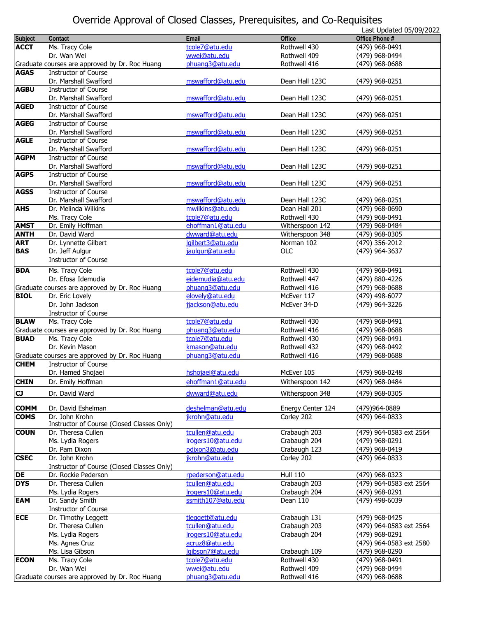## Override Approval of Closed Classes, Prerequisites, and Co-Requisites

|                |                                                |                   |                   | Last Updated 05/09/2022 |
|----------------|------------------------------------------------|-------------------|-------------------|-------------------------|
| <b>Subject</b> | Contact                                        | <b>Email</b>      | <b>Office</b>     | Office Phone #          |
| <b>ACCT</b>    | Ms. Tracy Cole                                 | tcole7@atu.edu    | Rothwell 430      | (479) 968-0491          |
|                | Dr. Wan Wei                                    | wwei@atu.edu      | Rothwell 409      | (479) 968-0494          |
|                |                                                | phuang3@atu.edu   | Rothwell 416      |                         |
|                | Graduate courses are approved by Dr. Roc Huang |                   |                   | (479) 968-0688          |
| <b>AGAS</b>    | <b>Instructor of Course</b>                    |                   |                   |                         |
|                | Dr. Marshall Swafford                          | mswafford@atu.edu | Dean Hall 123C    | (479) 968-0251          |
| <b>AGBU</b>    | <b>Instructor of Course</b>                    |                   |                   |                         |
|                | Dr. Marshall Swafford                          | mswafford@atu.edu | Dean Hall 123C    | (479) 968-0251          |
| <b>AGED</b>    | <b>Instructor of Course</b>                    |                   |                   |                         |
|                | Dr. Marshall Swafford                          | mswafford@atu.edu | Dean Hall 123C    | (479) 968-0251          |
| <b>AGEG</b>    | <b>Instructor of Course</b>                    |                   |                   |                         |
|                | Dr. Marshall Swafford                          | mswafford@atu.edu | Dean Hall 123C    | (479) 968-0251          |
| <b>AGLE</b>    | <b>Instructor of Course</b>                    |                   |                   |                         |
|                |                                                |                   |                   |                         |
|                | Dr. Marshall Swafford                          | mswafford@atu.edu | Dean Hall 123C    | (479) 968-0251          |
| <b>AGPM</b>    | <b>Instructor of Course</b>                    |                   |                   |                         |
|                | Dr. Marshall Swafford                          | mswafford@atu.edu | Dean Hall 123C    | (479) 968-0251          |
| <b>AGPS</b>    | <b>Instructor of Course</b>                    |                   |                   |                         |
|                | Dr. Marshall Swafford                          | mswafford@atu.edu | Dean Hall 123C    | (479) 968-0251          |
| <b>AGSS</b>    | <b>Instructor of Course</b>                    |                   |                   |                         |
|                | Dr. Marshall Swafford                          | mswafford@atu.edu | Dean Hall 123C    | (479) 968-0251          |
| <b>AHS</b>     | Dr. Melinda Wilkins                            | mwilkins@atu.edu  | Dean Hall 201     | (479) 968-0690          |
|                |                                                |                   |                   |                         |
|                | Ms. Tracy Cole                                 | tcole7@atu.edu    | Rothwell 430      | (479) 968-0491          |
| <b>AMST</b>    | Dr. Emily Hoffman                              | ehoffman1@atu.edu | Witherspoon 142   | (479) 968-0484          |
| <b>ANTH</b>    | Dr. David Ward                                 | dwward@atu.edu    | Witherspoon 348   | $(479)$ 968-0305        |
| <b>ART</b>     | Dr. Lynnette Gilbert                           | lgilbert3@atu.edu | Norman 102        | (479) 356-2012          |
| <b>BAS</b>     | Dr. Jeff Aulgur                                | jaulgur@atu.edu   | <b>OLC</b>        | (479) 964-3637          |
|                | <b>Instructor of Course</b>                    |                   |                   |                         |
| <b>BDA</b>     | Ms. Tracy Cole                                 | tcole7@atu.edu    | Rothwell 430      | (479) 968-0491          |
|                |                                                |                   |                   |                         |
|                | Dr. Efosa Idemudia                             | eidemudia@atu.edu | Rothwell 447      | (479) 880-4226          |
|                | Graduate courses are approved by Dr. Roc Huang | phuang3@atu.edu   | Rothwell 416      | (479) 968-0688          |
| <b>BIOL</b>    | Dr. Eric Lovely                                | elovely@atu.edu   | McEver 117        | (479) 498-6077          |
|                | Dr. John Jackson                               | jjackson@atu.edu  | McEver 34-D       | (479) 964-3226          |
|                | <b>Instructor of Course</b>                    |                   |                   |                         |
| <b>BLAW</b>    | Ms. Tracy Cole                                 | tcole7@atu.edu    | Rothwell 430      | (479) 968-0491          |
|                | Graduate courses are approved by Dr. Roc Huang | phuang3@atu.edu   | Rothwell 416      | (479) 968-0688          |
| <b>BUAD</b>    | Ms. Tracy Cole                                 | tcole7@atu.edu    | Rothwell 430      | (479) 968-0491          |
|                |                                                |                   |                   |                         |
|                | Dr. Kevin Mason                                | kmason@atu.edu    | Rothwell 432      | (479) 968-0492          |
|                | Graduate courses are approved by Dr. Roc Huang | phuang3@atu.edu   | Rothwell 416      | (479) 968-0688          |
| <b>CHEM</b>    | <b>Instructor of Course</b>                    |                   |                   |                         |
|                | Dr. Hamed Shojaei                              | hshojaei@atu.edu  | McEver 105        | (479) 968-0248          |
| <b>CHIN</b>    | Dr. Emily Hoffman                              | ehoffman1@atu.edu | Witherspoon 142   | (479) 968-0484          |
|                |                                                |                   |                   |                         |
| <b>CJ</b>      | Dr. David Ward                                 | dwward@atu.edu    | Witherspoon 348   | (479) 968-0305          |
|                |                                                |                   |                   |                         |
| <b>COMM</b>    | Dr. David Eshelman                             | deshelman@atu.edu | Energy Center 124 | (479)964-0889           |
| <b>COMS</b>    | Dr. John Krohn                                 | jkrohn@atu.edu    | Corley 202        | (479) 964-0833          |
|                | Instructor of Course (Closed Classes Only)     |                   |                   |                         |
| <b>COUN</b>    | Dr. Theresa Cullen                             | tcullen@atu.edu   | Crabaugh 203      | (479) 964-0583 ext 2564 |
|                | Ms. Lydia Rogers                               | Irogers10@atu.edu | Crabaugh 204      | (479) 968-0291          |
|                | Dr. Pam Dixon                                  | pdixon3@atu.edu   | Crabaugh 123      | (479) 968-0419          |
| <b>CSEC</b>    | Dr. John Krohn                                 | jkrohn@atu.edu    | Corley 202        | (479) 964-0833          |
|                | Instructor of Course (Closed Classes Only)     |                   |                   |                         |
| DE             | Dr. Rockie Pederson                            | rpederson@atu.edu | <b>Hull 110</b>   | (479) 968-0323          |
| <b>DYS</b>     | Dr. Theresa Cullen                             | tcullen@atu.edu   | Crabaugh 203      | (479) 964-0583 ext 2564 |
|                |                                                | Irogers10@atu.edu |                   |                         |
|                | Ms. Lydia Rogers                               |                   | Crabaugh 204      | (479) 968-0291          |
| EAM            | Dr. Sandy Smith                                | ssmith107@atu.edu | Dean 110          | (479) 498-6039          |
|                | Instructor of Course                           |                   |                   |                         |
| <b>ECE</b>     | Dr. Timothy Leggett                            | tleggett@atu.edu  | Crabaugh 131      | (479) 968-0425          |
|                | Dr. Theresa Cullen                             | tcullen@atu.edu   | Crabaugh 203      | (479) 964-0583 ext 2564 |
|                | Ms. Lydia Rogers                               | Irogers10@atu.edu | Crabaugh 204      | (479) 968-0291          |
|                | Ms. Agnes Cruz                                 | acruz8@atu.edu    |                   | (479) 964-0583 ext 2580 |
|                | Ms. Lisa Gibson                                | lgibson7@atu.edu  |                   |                         |
|                |                                                |                   | Crabaugh 109      | (479) 968-0290          |
| <b>ECON</b>    | Ms. Tracy Cole                                 | tcole7@atu.edu    | Rothwell 430      | (479) 968-0491          |
|                | Dr. Wan Wei                                    | wwei@atu.edu      | Rothwell 409      | (479) 968-0494          |
|                | Graduate courses are approved by Dr. Roc Huang | phuang3@atu.edu   | Rothwell 416      | (479) 968-0688          |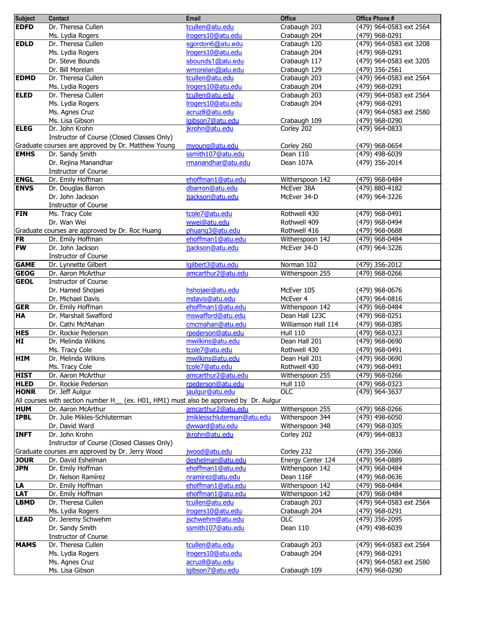| <b>Subject</b> | Contact                                            | Email                                              | <b>Office</b>       | Office Phone #          |
|----------------|----------------------------------------------------|----------------------------------------------------|---------------------|-------------------------|
| <b>EDFD</b>    | Dr. Theresa Cullen                                 | tcullen@atu.edu                                    | Crabaugh 203        | (479) 964-0583 ext 2564 |
|                | Ms. Lydia Rogers                                   | Irogers10@atu.edu                                  | Crabaugh 204        | (479) 968-0291          |
| <b>EDLD</b>    | Dr. Theresa Cullen                                 | sgordon6@atu.edu                                   | Crabaugh 120        | (479) 964-0583 ext 3208 |
|                | Ms. Lydia Rogers                                   | Irogers10@atu.edu                                  | Crabaugh 204        | (479) 968-0291          |
|                | Dr. Steve Bounds                                   | sbounds1@atu.edu                                   | Crabaugh 117        | (479) 964-0583 ext 3205 |
|                |                                                    |                                                    |                     |                         |
|                | Dr. Bill Morelan                                   | wmorelan@atu.edu                                   | Crabaugh 129        | (479) 356-2561          |
| <b>EDMD</b>    | Dr. Theresa Cullen                                 | tcullen@atu.edu                                    | Crabaugh 203        | (479) 964-0583 ext 2564 |
|                | Ms. Lydia Rogers                                   | Irogers10@atu.edu                                  | Crabaugh 204        | (479) 968-0291          |
| <b>ELED</b>    | Dr. Theresa Cullen                                 | tcullen@atu.edu                                    | Crabaugh 203        | (479) 964-0583 ext 2564 |
|                | Ms. Lydia Rogers                                   | Irogers10@atu.edu                                  | Crabaugh 204        | (479) 968-0291          |
|                | Ms. Agnes Cruz                                     | acruz8@atu.edu                                     |                     | (479) 964-0583 ext 2580 |
|                | Ms. Lisa Gibson                                    | lgibson7@atu.edu                                   | Crabaugh 109        | (479) 968-0290          |
| <b>ELEG</b>    | Dr. John Krohn                                     | jkrohn@atu.edu                                     | Corley 202          | (479) 964-0833          |
|                | Instructor of Course (Closed Classes Only)         |                                                    |                     |                         |
|                |                                                    |                                                    |                     |                         |
|                | Graduate courses are approved by Dr. Matthew Young | myoung@atu.edu                                     | Corley 260          | (479) 968-0654          |
| <b>EMHS</b>    | Dr. Sandy Smith                                    | ssmith107@atu.edu                                  | Dean 110            | (479) 498-6039          |
|                | Dr. Rejina Manandhar                               | rmanandhar@atu.edu                                 | Dean 107A           | (479) 356-2014          |
|                | <b>Instructor of Course</b>                        |                                                    |                     |                         |
| <b>ENGL</b>    | Dr. Emily Hoffman                                  | ehoffman1@atu.edu                                  | Witherspoon 142     | (479) 968-0484          |
| <b>ENVS</b>    | Dr. Douglas Barron                                 | dbarron@atu.edu                                    | McEver 38A          | (479) 880-4182          |
|                | Dr. John Jackson                                   | jjackson@atu.edu                                   | McEver 34-D         | (479) 964-3226          |
|                | <b>Instructor of Course</b>                        |                                                    |                     |                         |
| <b>FIN</b>     | Ms. Tracy Cole                                     | tcole7@atu.edu                                     | Rothwell 430        | (479) 968-0491          |
|                |                                                    | wwei@atu.edu                                       |                     |                         |
|                | Dr. Wan Wei                                        |                                                    | Rothwell 409        | (479) 968-0494          |
|                | Graduate courses are approved by Dr. Roc Huang     | phuang3@atu.edu                                    | Rothwell 416        | (479) 968-0688          |
| <b>FR</b>      | Dr. Emily Hoffman                                  | ehoffman1@atu.edu                                  | Witherspoon 142     | (479) 968-0484          |
| <b>FW</b>      | Dr. John Jackson                                   | jjackson@atu.edu                                   | McEver 34-D         | (479) 964-3226          |
|                | <b>Instructor of Course</b>                        |                                                    |                     |                         |
| <b>GAME</b>    | Dr. Lynnette Gilbert                               | lgilbert3@atu.edu                                  | Norman 102          | (479) 356-2012          |
| <b>GEOG</b>    | Dr. Aaron McArthur                                 | amcarthur2@atu.edu                                 | Witherspoon 255     | (479) 968-0266          |
| <b>GEOL</b>    | <b>Instructor of Course</b>                        |                                                    |                     |                         |
|                | Dr. Hamed Shojaei                                  | hshojaei@atu.edu                                   | McEver 105          | (479) 968-0676          |
|                | Dr. Michael Davis                                  | mdavis@atu.edu                                     | McEver 4            | (479) 964-0816          |
| <b>GER</b>     | Dr. Emily Hoffman                                  | ehoffman1@atu.edu                                  | Witherspoon 142     | (479) 968-0484          |
| <b>HA</b>      |                                                    |                                                    | Dean Hall 123C      |                         |
|                | Dr. Marshall Swafford                              | mswafford@atu.edu                                  |                     | (479) 968-0251          |
|                | Dr. Cathi McMahan                                  | cmcmahan@atu.edu                                   | Williamson Hall 114 | (479) 968-0385          |
| <b>HES</b>     | Dr. Rockie Pederson                                | rpederson@atu.edu                                  | <b>Hull 110</b>     | (479) 968-0323          |
| HI             | Dr. Melinda Wilkins                                | mwilkins@atu.edu                                   | Dean Hall 201       | (479) 968-0690          |
|                | Ms. Tracy Cole                                     | tcole7@atu.edu                                     | Rothwell 430        | (479) 968-0491          |
| <b>HIM</b>     | Dr. Melinda Wilkins                                | mwilkins@atu.edu                                   | Dean Hall 201       | (479) 968-0690          |
|                | Ms. Tracy Cole                                     | tcole7@atu.edu                                     | Rothwell 430        | (479) 968-0491          |
| <b>HIST</b>    | Dr. Aaron McArthur                                 | amcarthur2@atu.edu                                 | Witherspoon 255     | (479) 968-0266          |
| <b>HLED</b>    | Dr. Rockie Pederson                                | rpederson@atu.edu                                  | <b>Hull 110</b>     | (479) 968-0323          |
| <b>HONR</b>    | Dr. Jeff Aulgur                                    | jaulgur@atu.edu                                    | $\overline{OC}$     | (479) 964-3637          |
|                | All courses with section number H                  | (ex. H01, HM1) must also be approved by Dr. Aulgur |                     |                         |
| <b>HUM</b>     | Dr. Aaron McArthur                                 | amcarthur2@atu.edu                                 |                     | (479) 968-0266          |
|                |                                                    |                                                    | Witherspoon 255     |                         |
| <b>IPBL</b>    | Dr. Julie Mikles-Schluterman                       | jmiklesschluterman@atu.edu                         | Witherspoon 344     | (479) 498-6050          |
|                | Dr. David Ward                                     | dwward@atu.edu                                     | Witherspoon 348     | (479) 968-0305          |
| <b>INFT</b>    | Dr. John Krohn                                     | jkrohn@atu.edu                                     | Corley 202          | (479) 964-0833          |
|                | Instructor of Course (Closed Classes Only)         |                                                    |                     |                         |
|                | Graduate courses are approved by Dr. Jerry Wood    | jwood@atu.edu                                      | Corley 232          | (479) 356-2066          |
| <b>JOUR</b>    | Dr. David Eshelman                                 | deshelman@atu.edu                                  | Energy Center 124   | (479) 964-0889          |
| <b>JPN</b>     | Dr. Emily Hoffman                                  | ehoffman1@atu.edu                                  | Witherspoon 142     | (479) 968-0484          |
|                | Dr. Nelson Ramírez                                 | nramirez@atu.edu                                   | Dean 116F           | (479) 968-0636          |
| LA             | Dr. Emily Hoffman                                  | ehoffman1@atu.edu                                  | Witherspoon 142     | (479) 968-0484          |
| <b>LAT</b>     | Dr. Emily Hoffman                                  | ehoffman1@atu.edu                                  | Witherspoon 142     | (479) 968-0484          |
|                |                                                    |                                                    |                     |                         |
| <b>LBMD</b>    | Dr. Theresa Cullen                                 | tcullen@atu.edu                                    | Crabaugh 203        | (479) 964-0583 ext 2564 |
|                | Ms. Lydia Rogers                                   | Irogers10@atu.edu                                  | Crabaugh 204        | (479) 968-0291          |
| <b>LEAD</b>    | Dr. Jeremy Schwehm                                 | jschwehm@atu.edu                                   | $\overline{OC}$     | (479) 356-2095          |
|                | Dr. Sandy Smith                                    | ssmith107@atu.edu                                  | Dean 110            | (479) 498-6039          |
|                | Instructor of Course                               |                                                    |                     |                         |
| <b>MAMS</b>    | Dr. Theresa Cullen                                 | tcullen@atu.edu                                    | Crabaugh 203        | (479) 964-0583 ext 2564 |
|                | Ms. Lydia Rogers                                   | Irogers10@atu.edu                                  | Crabaugh 204        | (479) 968-0291          |
|                | Ms. Agnes Cruz                                     | acruz8@atu.edu                                     |                     | (479) 964-0583 ext 2580 |
|                | Ms. Lisa Gibson                                    | lgibson7@atu.edu                                   | Crabaugh 109        | (479) 968-0290          |
|                |                                                    |                                                    |                     |                         |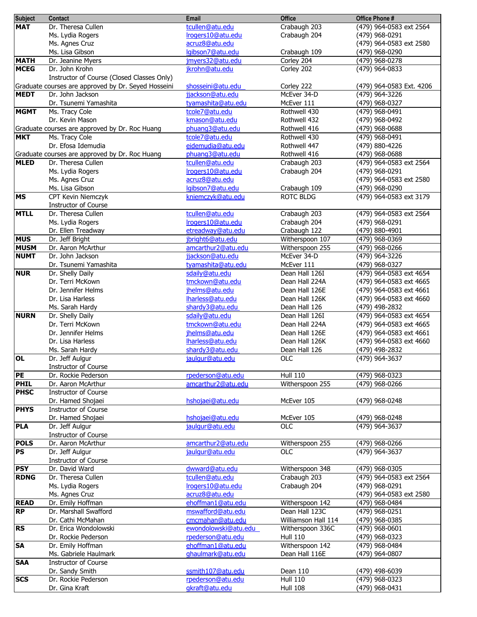| <b>Subject</b>            | Contact                                             | <b>Email</b>                           | <b>Office</b>                   | <b>Office Phone #</b>                     |
|---------------------------|-----------------------------------------------------|----------------------------------------|---------------------------------|-------------------------------------------|
| <b>MAT</b>                | Dr. Theresa Cullen                                  | tcullen@atu.edu                        | Crabaugh 203                    | (479) 964-0583 ext 2564                   |
|                           | Ms. Lydia Rogers                                    | Irogers10@atu.edu                      | Crabaugh 204                    | (479) 968-0291                            |
|                           | Ms. Agnes Cruz                                      | acruz8@atu.edu                         |                                 | (479) 964-0583 ext 2580                   |
|                           | Ms. Lisa Gibson                                     | lgibson7@atu.edu                       | Crabaugh 109                    | (479) 968-0290                            |
| <b>MATH</b>               | Dr. Jeanine Myers                                   | jmyers32@atu.edu                       | Corley 204                      | (479) 968-0278                            |
| <b>MCEG</b>               | Dr. John Krohn                                      | jkrohn@atu.edu                         | Corley 202                      | (479) 964-0833                            |
|                           | Instructor of Course (Closed Classes Only)          |                                        |                                 |                                           |
|                           | Graduate courses are approved by Dr. Seyed Hosseini | shosseini@atu.edu                      | Corley 222                      | (479) 964-0583 Ext. 4206                  |
| <b>MEDT</b>               | Dr. John Jackson                                    | jjackson@atu.edu                       | McEver 34-D                     | (479) 964-3226                            |
|                           | Dr. Tsunemi Yamashita                               | tyamashita@atu.edu                     | McEver 111                      | (479) 968-0327                            |
| <b>MGMT</b>               | Ms. Tracy Cole                                      | tcole7@atu.edu                         | Rothwell 430                    | (479) 968-0491                            |
|                           | Dr. Kevin Mason                                     | kmason@atu.edu                         | Rothwell 432                    | (479) 968-0492                            |
|                           | Graduate courses are approved by Dr. Roc Huang      | phuang3@atu.edu                        | Rothwell 416                    | (479) 968-0688                            |
| <b>MKT</b>                | Ms. Tracy Cole                                      | tcole7@atu.edu                         | Rothwell 430                    | (479) 968-0491                            |
|                           | Dr. Efosa Idemudia                                  | eidemudia@atu.edu                      | Rothwell 447                    | (479) 880-4226                            |
|                           | Graduate courses are approved by Dr. Roc Huang      | phuang3@atu.edu                        | Rothwell 416                    | (479) 968-0688                            |
| <b>MLED</b>               | Dr. Theresa Cullen                                  | tcullen@atu.edu                        | Crabaugh 203                    | (479) 964-0583 ext 2564                   |
|                           | Ms. Lydia Rogers                                    | Irogers10@atu.edu                      | Crabaugh 204                    | (479) 968-0291                            |
|                           | Ms. Agnes Cruz                                      | acruz8@atu.edu                         |                                 | (479) 964-0583 ext 2580                   |
|                           | Ms. Lisa Gibson                                     | lgibson7@atu.edu                       | Crabaugh 109                    | (479) 968-0290                            |
| <b>MS</b>                 | <b>CPT Kevin Niemczyk</b>                           | kniemczyk@atu.edu                      | <b>ROTC BLDG</b>                | (479) 964-0583 ext 3179                   |
|                           | <b>Instructor of Course</b>                         |                                        |                                 |                                           |
| <b>MTLL</b>               | Dr. Theresa Cullen                                  | tcullen@atu.edu                        | Crabaugh 203                    | (479) 964-0583 ext 2564                   |
|                           | Ms. Lydia Rogers                                    | Irogers10@atu.edu                      | Crabaugh 204                    | (479) 968-0291                            |
|                           | Dr. Ellen Treadway                                  | etreadway@atu.edu                      | Crabaugh 122                    | (479) 880-4901                            |
| <b>MUS</b><br><b>MUSM</b> | Dr. Jeff Bright                                     | jbright6@atu.edu                       | Witherspoon 107                 | (479) 968-0369                            |
| <b>NUMT</b>               | Dr. Aaron McArthur<br>Dr. John Jackson              | amcarthur2@atu.edu<br>jjackson@atu.edu | Witherspoon 255<br>McEver 34-D  | (479) 968-0266<br>(479) 964-3226          |
|                           | Dr. Tsunemi Yamashita                               | tyamashita@atu.edu                     | McEver 111                      | (479) 968-0327                            |
| <b>NUR</b>                | Dr. Shelly Daily                                    | sdaily@atu.edu                         | Dean Hall 126I                  | (479) 964-0583 ext 4654                   |
|                           | Dr. Terri McKown                                    | tmckown@atu.edu                        | Dean Hall 224A                  | (479) 964-0583 ext 4665                   |
|                           | Dr. Jennifer Helms                                  | jhelms@atu.edu                         | Dean Hall 126E                  | (479) 964-0583 ext 4661                   |
|                           | Dr. Lisa Harless                                    | lharless@atu.edu                       | Dean Hall 126K                  | (479) 964-0583 ext 4660                   |
|                           | Ms. Sarah Hardy                                     | shardy3@atu.edu                        | Dean Hall 126                   | (479) 498-2832                            |
| <b>NURN</b>               | Dr. Shelly Daily                                    | sdaily@atu.edu                         | Dean Hall 126I                  | (479) 964-0583 ext 4654                   |
|                           | Dr. Terri McKown                                    | tmckown@atu.edu                        | Dean Hall 224A                  | (479) 964-0583 ext 4665                   |
|                           | Dr. Jennifer Helms                                  | jhelms@atu.edu                         | Dean Hall 126E                  | (479) 964-0583 ext 4661                   |
|                           | Dr. Lisa Harless                                    | lharless@atu.edu                       | Dean Hall 126K                  | (479) 964-0583 ext 4660                   |
|                           | Ms. Sarah Hardy                                     | shardy3@atu.edu                        | Dean Hall 126                   | (479) 498-2832                            |
| <b>OL</b>                 | Dr. Jeff Aulgur                                     | jaulgur@atu.edu                        | <b>OLC</b>                      | (479) 964-3637                            |
|                           | Instructor of Course                                |                                        |                                 |                                           |
| PE                        | Dr. Rockie Pederson                                 | rpederson@atu.edu                      | <b>Hull 110</b>                 | (479) 968-0323                            |
| <b>PHIL</b>               | Dr. Aaron McArthur                                  | amcarthur <sub>2@atu.edu</sub>         | Witherspoon 255                 | (479) 968-0266                            |
| <b>PHSC</b>               | <b>Instructor of Course</b>                         |                                        |                                 |                                           |
|                           | Dr. Hamed Shojaei                                   | hshojaei@atu.edu                       | McEver 105                      | (479) 968-0248                            |
| <b>PHYS</b>               | <b>Instructor of Course</b>                         |                                        |                                 |                                           |
|                           | Dr. Hamed Shojaei                                   | hshojaei@atu.edu                       | McEver 105                      | (479) 968-0248                            |
| <b>PLA</b>                | Dr. Jeff Aulgur                                     | jaulgur@atu.edu                        | <b>OLC</b>                      | (479) 964-3637                            |
|                           | <b>Instructor of Course</b>                         |                                        |                                 |                                           |
| <b>POLS</b>               | Dr. Aaron McArthur                                  | amcarthur2@atu.edu                     | Witherspoon 255                 | (479) 968-0266                            |
| <b>PS</b>                 | Dr. Jeff Aulgur                                     | jaulgur@atu.edu                        | <b>OLC</b>                      | (479) 964-3637                            |
|                           | <b>Instructor of Course</b>                         |                                        |                                 |                                           |
| <b>PSY</b><br><b>RDNG</b> | Dr. David Ward<br>Dr. Theresa Cullen                | dwward@atu.edu<br>tcullen@atu.edu      | Witherspoon 348<br>Crabaugh 203 | (479) 968-0305<br>(479) 964-0583 ext 2564 |
|                           | Ms. Lydia Rogers                                    | Irogers10@atu.edu                      | Crabaugh 204                    | (479) 968-0291                            |
|                           | Ms. Agnes Cruz                                      | acruz8@atu.edu                         |                                 | (479) 964-0583 ext 2580                   |
| <b>READ</b>               | Dr. Emily Hoffman                                   | ehoffman1@atu.edu                      | Witherspoon 142                 | (479) 968-0484                            |
| <b>RP</b>                 | Dr. Marshall Swafford                               | mswafford@atu.edu                      | Dean Hall 123C                  | (479) 968-0251                            |
|                           | Dr. Cathi McMahan                                   | cmcmahan@atu.edu                       | Williamson Hall 114             | (479) 968-0385                            |
| <b>RS</b>                 | Dr. Erica Wondolowski                               | ewondolowski@atu.edu                   | Witherspoon 336C                | (479) 968-0601                            |
|                           | Dr. Rockie Pederson                                 | rpederson@atu.edu                      | <b>Hull 110</b>                 | (479) 968-0323                            |
| <b>SA</b>                 | Dr. Emily Hoffman                                   | ehoffman1@atu.edu                      | Witherspoon 142                 | (479) 968-0484                            |
|                           | Ms. Gabriele Haulmark                               | ghaulmark@atu.edu                      | Dean Hall 116E                  | (479) 964-0807                            |
| <b>SAA</b>                | Instructor of Course                                |                                        |                                 |                                           |
|                           | Dr. Sandy Smith                                     | ssmith107@atu.edu                      | Dean 110                        | (479) 498-6039                            |
| <b>SCS</b>                | Dr. Rockie Pederson                                 | rpederson@atu.edu                      | <b>Hull 110</b>                 | (479) 968-0323                            |
|                           | Dr. Gina Kraft                                      | gkraft@atu.edu                         | <b>Hull 108</b>                 | (479) 968-0431                            |
|                           |                                                     |                                        |                                 |                                           |